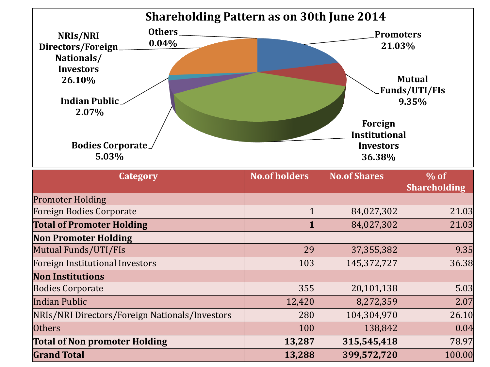

| Category                                       | <b>No.of holders</b> | <b>No.of Shares</b> | $\%$ of<br><b>Shareholding</b> |
|------------------------------------------------|----------------------|---------------------|--------------------------------|
| <b>Promoter Holding</b>                        |                      |                     |                                |
| Foreign Bodies Corporate                       |                      | 84,027,302          | 21.03                          |
| <b>Total of Promoter Holding</b>               |                      | 84,027,302          | 21.03                          |
| <b>Non Promoter Holding</b>                    |                      |                     |                                |
| Mutual Funds/UTI/FIs                           | 29                   | 37,355,382          | 9.35                           |
| Foreign Institutional Investors                | 103                  | 145,372,727         | 36.38                          |
| <b>Non Institutions</b>                        |                      |                     |                                |
| <b>Bodies Corporate</b>                        | 355                  | 20,101,138          | 5.03                           |
| Indian Public                                  | 12,420               | 8,272,359           | 2.07                           |
| NRIs/NRI Directors/Foreign Nationals/Investors | 280                  | 104,304,970         | 26.10                          |
| Others                                         | 100                  | 138,842             | 0.04                           |
| <b>Total of Non promoter Holding</b>           | 13,287               | 315,545,418         | 78.97                          |
| <b>Grand Total</b>                             | 13,288               | 399,572,720         | 100.00                         |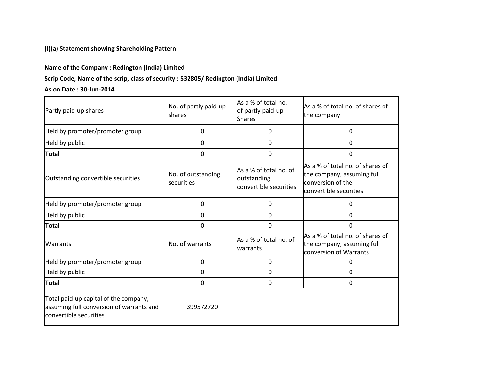## **(I)(a) Statement showing Shareholding Pattern**

### **Name of the Company : Redington (India) Limited**

### **Scrip Code, Name of the scrip, class of security : 532805/ Redington (India) Limited**

#### **As on Date : 30-Jun-2014**

| Partly paid-up shares                                                                                       | No. of partly paid-up<br>shares  | As a % of total no.<br>of partly paid-up<br><b>Shares</b>       | As a % of total no. of shares of<br>the company                                                               |
|-------------------------------------------------------------------------------------------------------------|----------------------------------|-----------------------------------------------------------------|---------------------------------------------------------------------------------------------------------------|
| Held by promoter/promoter group                                                                             | 0                                | 0                                                               | 0                                                                                                             |
| Held by public                                                                                              | 0                                | $\Omega$                                                        | 0                                                                                                             |
| <b>Total</b>                                                                                                | 0                                | $\Omega$                                                        | $\Omega$                                                                                                      |
| Outstanding convertible securities                                                                          | No. of outstanding<br>securities | As a % of total no. of<br>outstanding<br>convertible securities | As a % of total no. of shares of<br>the company, assuming full<br>conversion of the<br>convertible securities |
| Held by promoter/promoter group                                                                             | 0                                | 0                                                               | 0                                                                                                             |
| Held by public                                                                                              | 0                                | 0                                                               | 0                                                                                                             |
| <b>Total</b>                                                                                                | 0                                | 0                                                               | 0                                                                                                             |
| Warrants                                                                                                    | No. of warrants                  | As a % of total no. of<br>warrants                              | As a % of total no. of shares of<br>the company, assuming full<br>conversion of Warrants                      |
| Held by promoter/promoter group                                                                             | 0                                | 0                                                               | 0                                                                                                             |
| Held by public                                                                                              | 0                                | 0                                                               | 0                                                                                                             |
| <b>Total</b>                                                                                                | 0                                | $\Omega$                                                        | 0                                                                                                             |
| Total paid-up capital of the company,<br>assuming full conversion of warrants and<br>convertible securities | 399572720                        |                                                                 |                                                                                                               |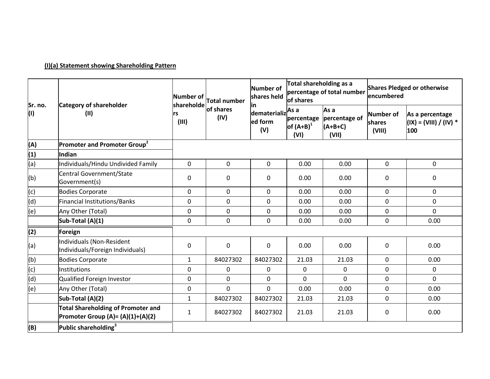# **(I)(a) Statement showing Shareholding Pattern**

| Sr. no. | <b>Category of shareholder</b><br>(II)                                                | Number of<br>shareholde | Total number<br>of shares<br>(IV) | Number of<br>shares held             | Total shareholding as a<br>of shares       | percentage of total number                  | <b>Shares Pledged or otherwise</b><br>encumbered |                                                  |
|---------|---------------------------------------------------------------------------------------|-------------------------|-----------------------------------|--------------------------------------|--------------------------------------------|---------------------------------------------|--------------------------------------------------|--------------------------------------------------|
| (1)     |                                                                                       | rs<br>(III)             |                                   | ın<br>dematerializ<br>ed form<br>(V) | As a<br>percentage<br>of $(A+B)^1$<br>(VI) | As a<br>percentage of<br>$(A+B+C)$<br>(VII) | <b>Number of</b><br><b>Ishares</b><br>(VIII)     | As a percentage<br>(IX) = (VIII) / (IV) *<br>100 |
| (A)     | Promoter and Promoter Group <sup>2</sup>                                              |                         |                                   |                                      |                                            |                                             |                                                  |                                                  |
| (1)     | Indian                                                                                |                         |                                   |                                      |                                            |                                             |                                                  |                                                  |
| (a)     | Individuals/Hindu Undivided Family                                                    | 0                       | $\mathbf 0$                       | $\mathbf 0$                          | 0.00                                       | 0.00                                        | $\mathbf 0$                                      | $\mathbf 0$                                      |
| (b)     | Central Government/State<br>Government(s)                                             | 0                       | $\pmb{0}$                         | $\mathbf 0$                          | 0.00                                       | 0.00                                        | $\mathbf 0$                                      | $\mathbf 0$                                      |
| (c)     | <b>Bodies Corporate</b>                                                               | 0                       | $\mathbf 0$                       | $\mathbf 0$                          | 0.00                                       | 0.00                                        | $\mathbf 0$                                      | $\mathbf 0$                                      |
| (d)     | Financial Institutions/Banks                                                          | 0                       | $\mathbf 0$                       | $\mathbf 0$                          | 0.00                                       | 0.00                                        | $\mathbf 0$                                      | 0                                                |
| (e)     | Any Other (Total)                                                                     | $\overline{0}$          | $\mathbf 0$                       | $\mathbf 0$                          | 0.00                                       | 0.00                                        | $\overline{0}$                                   | $\mathbf{0}$                                     |
|         | Sub-Total (A)(1)                                                                      | 0                       | $\boldsymbol{0}$                  | $\overline{0}$                       | 0.00                                       | 0.00                                        | $\mathbf 0$                                      | 0.00                                             |
| (2)     | Foreign                                                                               |                         |                                   |                                      |                                            |                                             |                                                  |                                                  |
| (a)     | Individuals (Non-Resident<br>Individuals/Foreign Individuals)                         | 0                       | $\boldsymbol{0}$                  | $\mathbf 0$                          | 0.00                                       | 0.00                                        | $\mathbf 0$                                      | 0.00                                             |
| (b)     | <b>Bodies Corporate</b>                                                               | $\mathbf{1}$            | 84027302                          | 84027302                             | 21.03                                      | 21.03                                       | $\mathbf 0$                                      | 0.00                                             |
| (c)     | Institutions                                                                          | $\mathbf 0$             | $\mathbf 0$                       | 0                                    | $\mathbf 0$                                | 0                                           | $\mathbf{0}$                                     | $\mathbf 0$                                      |
| (d)     | Qualified Foreign Investor                                                            | 0                       | $\mathbf 0$                       | $\mathbf 0$                          | $\mathbf 0$                                | $\Omega$                                    | $\mathbf 0$                                      | $\Omega$                                         |
| (e)     | Any Other (Total)                                                                     | 0                       | $\mathbf 0$                       | $\overline{0}$                       | 0.00                                       | 0.00                                        | $\mathbf 0$                                      | 0.00                                             |
|         | Sub-Total (A)(2)                                                                      | $\mathbf{1}$            | 84027302                          | 84027302                             | 21.03                                      | 21.03                                       | $\mathbf 0$                                      | 0.00                                             |
|         | <b>Total Shareholding of Promoter and</b><br><b>Promoter Group (A)= (A)(1)+(A)(2)</b> | $\mathbf{1}$            | 84027302                          | 84027302                             | 21.03                                      | 21.03                                       | $\mathbf{0}$                                     | 0.00                                             |
| (B)     | Public shareholding <sup>3</sup>                                                      |                         |                                   |                                      |                                            |                                             |                                                  |                                                  |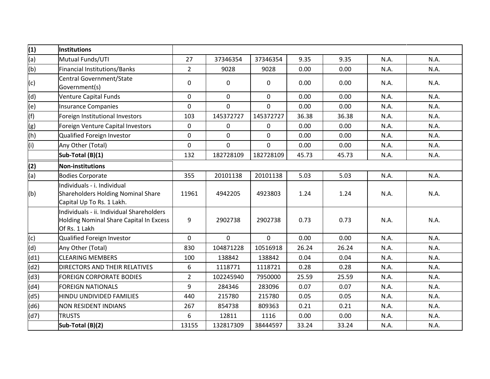| (1)  | Institutions                                                                                          |                |             |              |       |       |      |      |
|------|-------------------------------------------------------------------------------------------------------|----------------|-------------|--------------|-------|-------|------|------|
| (a)  | Mutual Funds/UTI                                                                                      | 27             | 37346354    | 37346354     | 9.35  | 9.35  | N.A. | N.A. |
| (b)  | Financial Institutions/Banks                                                                          | $\overline{2}$ | 9028        | 9028         | 0.00  | 0.00  | N.A. | N.A. |
| (c)  | Central Government/State<br>Government(s)                                                             | $\mathbf 0$    | 0           | $\mathbf 0$  | 0.00  | 0.00  | N.A. | N.A. |
| (d)  | Venture Capital Funds                                                                                 | $\mathbf{0}$   | $\mathbf 0$ | $\mathbf{0}$ | 0.00  | 0.00  | N.A. | N.A. |
| (e)  | Insurance Companies                                                                                   | $\mathbf 0$    | $\mathbf 0$ | $\mathbf 0$  | 0.00  | 0.00  | N.A. | N.A. |
| (f)  | Foreign Institutional Investors                                                                       | 103            | 145372727   | 145372727    | 36.38 | 36.38 | N.A. | N.A. |
| (g)  | Foreign Venture Capital Investors                                                                     | $\mathbf 0$    | 0           | 0            | 0.00  | 0.00  | N.A. | N.A. |
| (h)  | Qualified Foreign Investor                                                                            | $\mathbf 0$    | $\pmb{0}$   | $\pmb{0}$    | 0.00  | 0.00  | N.A. | N.A. |
| (i)  | Any Other (Total)                                                                                     | $\mathbf 0$    | $\mathbf 0$ | $\mathbf 0$  | 0.00  | 0.00  | N.A. | N.A. |
|      | Sub-Total (B)(1)                                                                                      | 132            | 182728109   | 182728109    | 45.73 | 45.73 | N.A. | N.A. |
| (2)  | Non-institutions                                                                                      |                |             |              |       |       |      |      |
| (a)  | <b>Bodies Corporate</b>                                                                               | 355            | 20101138    | 20101138     | 5.03  | 5.03  | N.A. | N.A. |
| (b)  | Individuals - i. Individual<br>Shareholders Holding Nominal Share<br>Capital Up To Rs. 1 Lakh.        | 11961          | 4942205     | 4923803      | 1.24  | 1.24  | N.A. | N.A. |
|      | Individuals - ii. Individual Shareholders<br>Holding Nominal Share Capital In Excess<br>Of Rs. 1 Lakh | 9              | 2902738     | 2902738      | 0.73  | 0.73  | N.A. | N.A. |
| (c)  | Qualified Foreign Investor                                                                            | $\mathbf{0}$   | $\mathbf 0$ | $\mathbf{0}$ | 0.00  | 0.00  | N.A. | N.A. |
| (d)  | Any Other (Total)                                                                                     | 830            | 104871228   | 10516918     | 26.24 | 26.24 | N.A. | N.A. |
| (d1) | <b>CLEARING MEMBERS</b>                                                                               | 100            | 138842      | 138842       | 0.04  | 0.04  | N.A. | N.A. |
| (d2) | <b>DIRECTORS AND THEIR RELATIVES</b>                                                                  | 6              | 1118771     | 1118721      | 0.28  | 0.28  | N.A. | N.A. |
| (d3) | <b>FOREIGN CORPORATE BODIES</b>                                                                       | $\overline{2}$ | 102245940   | 7950000      | 25.59 | 25.59 | N.A. | N.A. |
| (d4) | <b>FOREIGN NATIONALS</b>                                                                              | 9              | 284346      | 283096       | 0.07  | 0.07  | N.A. | N.A. |
| (d5) | HINDU UNDIVIDED FAMILIES                                                                              | 440            | 215780      | 215780       | 0.05  | 0.05  | N.A. | N.A. |
| (d6) | <b>NON RESIDENT INDIANS</b>                                                                           | 267            | 854738      | 809363       | 0.21  | 0.21  | N.A. | N.A. |
| (d7) | <b>TRUSTS</b>                                                                                         | 6              | 12811       | 1116         | 0.00  | 0.00  | N.A. | N.A. |
|      | Sub-Total (B)(2)                                                                                      | 13155          | 132817309   | 38444597     | 33.24 | 33.24 | N.A. | N.A. |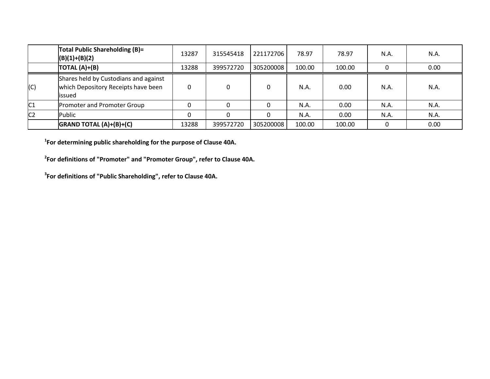|                | Total Public Shareholding (B)=<br>$(B)(1)+(B)(2)$                                       | 13287        | 315545418 | 221172706 | 78.97  | 78.97  | N.A. | N.A. |
|----------------|-----------------------------------------------------------------------------------------|--------------|-----------|-----------|--------|--------|------|------|
|                | TOTAL $(A)+(B)$                                                                         | L3288        | 399572720 | 305200008 | 100.00 | 100.00 |      | 0.00 |
| (C)            | Shares held by Custodians and against<br>which Depository Receipts have been<br>lissued | $\mathbf{0}$ |           |           | N.A.   | 0.00   | N.A. | N.A. |
| C <sub>1</sub> | Promoter and Promoter Group                                                             | 0            |           |           | N.A.   | 0.00   | N.A. | N.A. |
| C <sub>2</sub> | Public                                                                                  | 0            |           |           | N.A.   | 0.00   | N.A. | N.A. |
|                | $G$ RAND TOTAL $(A)+(B)+(C)$                                                            | 13288        | 399572720 | 305200008 | 100.00 | 100.00 |      | 0.00 |

**1 For determining public shareholding for the purpose of Clause 40A.**

**2 For definitions of "Promoter" and "Promoter Group", refer to Clause 40A.**

**3 For definitions of "Public Shareholding", refer to Clause 40A.**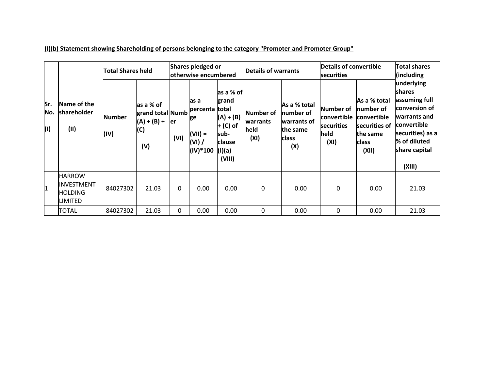| lSr.<br>No.<br>(1) | Name of the<br>shareholder<br>(11)                        |                       | <b>Total Shares held</b>                                      |             | Shares pledged or<br>otherwise encumbered                      |                                                                                                               | Details of warrants                          |                                                                             | Details of convertible<br>securities                   |                                                                                                 | <b>Total shares</b><br>(including)                                                                                                                                  |
|--------------------|-----------------------------------------------------------|-----------------------|---------------------------------------------------------------|-------------|----------------------------------------------------------------|---------------------------------------------------------------------------------------------------------------|----------------------------------------------|-----------------------------------------------------------------------------|--------------------------------------------------------|-------------------------------------------------------------------------------------------------|---------------------------------------------------------------------------------------------------------------------------------------------------------------------|
|                    |                                                           | <b>Number</b><br>(IV) | las a % of<br>grand total Numb<br>$(A) + (B) +$<br>(C)<br>(V) | ler<br>(VI) | las a<br>percenta<br>ge<br>$(VII) =$<br>$(VI)$ /<br>$(IV)*100$ | as a % of<br>grand<br><b>Itotal</b><br>$(A) + (B)$<br>$+$ (C) of<br>sub-<br><b>clause</b><br>(1)(a)<br>(VIII) | Number of<br><b>warrants</b><br>held<br>(XI) | As a % total<br>number of<br>warrants of<br>the same<br><b>class</b><br>(X) | Number of<br>convertible<br>securities<br>held<br>(XI) | As a % total<br>Inumber of<br>convertible<br>securities of<br>the same<br><b>class</b><br>(XII) | underlying<br><b>Ishares</b><br>assuming full<br>conversion of<br>warrants and<br><b>convertible</b><br>securities) as a<br>% of diluted<br>share capital<br>(XIII) |
| $\overline{1}$     | <b>IHARROW</b><br>INVESTMENT<br><b>HOLDING</b><br>LIMITED | 84027302              | 21.03                                                         | 0           | 0.00                                                           | 0.00                                                                                                          | $\mathbf 0$                                  | 0.00                                                                        | $\mathbf{0}$                                           | 0.00                                                                                            | 21.03                                                                                                                                                               |
|                    | <b>TOTAL</b>                                              | 84027302              | 21.03                                                         | $\Omega$    | 0.00                                                           | 0.00                                                                                                          | 0                                            | 0.00                                                                        | $\Omega$                                               | 0.00                                                                                            | 21.03                                                                                                                                                               |

**(I)(b) Statement showing Shareholding of persons belonging to the category "Promoter and Promoter Group"**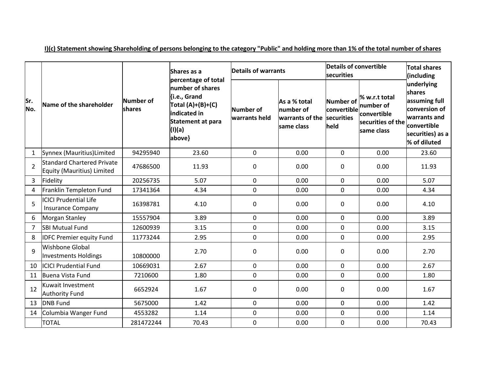|                |                                                          |                     | Shares as a                                                                                                                             | Details of warrants        |                                                            | <b>Details of convertible</b><br><b>securities</b> | <b>Total shares</b><br>(including                                            |                                                                                                                           |
|----------------|----------------------------------------------------------|---------------------|-----------------------------------------------------------------------------------------------------------------------------------------|----------------------------|------------------------------------------------------------|----------------------------------------------------|------------------------------------------------------------------------------|---------------------------------------------------------------------------------------------------------------------------|
| Sr.<br>No.     | Name of the shareholder                                  | Number of<br>shares | percentage of total<br>number of shares<br>{i.e., Grand<br>Total $(A)+(B)+(C)$<br>indicated in<br>Statement at para<br>(I)(a)<br>above} | Number of<br>warrants held | As a % total<br>number of<br>warrants of the<br>same class | Number of<br>convertible<br>securities<br>held     | % w.r.t total<br>number of<br>convertible<br>securities of the<br>same class | underlying<br>shares<br>assuming full<br>conversion of<br>warrants and<br>convertible<br>securities) as a<br>% of diluted |
| $\mathbf{1}$   | Synnex (Mauritius) Limited                               | 94295940            | 23.60                                                                                                                                   | 0                          | 0.00                                                       | $\mathbf 0$                                        | 0.00                                                                         | 23.60                                                                                                                     |
| $\overline{2}$ | Standard Chartered Private<br>Equity (Mauritius) Limited | 47686500            | 11.93                                                                                                                                   | $\mathbf 0$                | 0.00                                                       | 0                                                  | 0.00                                                                         | 11.93                                                                                                                     |
| 3              | Fidelity                                                 | 20256735            | 5.07                                                                                                                                    | 0                          | 0.00                                                       | $\overline{0}$                                     | 0.00                                                                         | 5.07                                                                                                                      |
| 4              | Franklin Templeton Fund                                  | 17341364            | 4.34                                                                                                                                    | 0                          | 0.00                                                       | 0                                                  | 0.00                                                                         | 4.34                                                                                                                      |
| 5              | <b>ICICI Prudential Life</b><br><b>Insurance Company</b> | 16398781            | 4.10                                                                                                                                    | 0                          | 0.00                                                       | 0                                                  | 0.00                                                                         | 4.10                                                                                                                      |
| 6              | Morgan Stanley                                           | 15557904            | 3.89                                                                                                                                    | 0                          | 0.00                                                       | $\mathbf 0$                                        | 0.00                                                                         | 3.89                                                                                                                      |
| $\overline{7}$ | <b>SBI Mutual Fund</b>                                   | 12600939            | 3.15                                                                                                                                    | 0                          | 0.00                                                       | $\overline{0}$                                     | 0.00                                                                         | 3.15                                                                                                                      |
| 8              | <b>IDFC Premier equity Fund</b>                          | 11773244            | 2.95                                                                                                                                    | 0                          | 0.00                                                       | $\overline{0}$                                     | 0.00                                                                         | 2.95                                                                                                                      |
| 9              | <b>Wishbone Global</b><br>Investments Holdings           | 10800000            | 2.70                                                                                                                                    | 0                          | 0.00                                                       | 0                                                  | 0.00                                                                         | 2.70                                                                                                                      |
| 10             | <b>ICICI Prudential Fund</b>                             | 10669031            | 2.67                                                                                                                                    | 0                          | 0.00                                                       | 0                                                  | 0.00                                                                         | 2.67                                                                                                                      |
| 11             | Buena Vista Fund                                         | 7210600             | 1.80                                                                                                                                    | 0                          | 0.00                                                       | $\mathbf 0$                                        | 0.00                                                                         | 1.80                                                                                                                      |
| 12             | Kuwait Investment<br>6652924<br><b>Authority Fund</b>    |                     | 1.67                                                                                                                                    | 0                          | 0.00                                                       | 0                                                  | 0.00                                                                         | 1.67                                                                                                                      |
| 13             | <b>DNB Fund</b>                                          | 5675000             | 1.42                                                                                                                                    | 0                          | 0.00                                                       | 0                                                  | 0.00                                                                         | 1.42                                                                                                                      |
| 14             | Columbia Wanger Fund                                     | 4553282             | 1.14                                                                                                                                    | 0                          | 0.00                                                       | 0                                                  | 0.00                                                                         | 1.14                                                                                                                      |
|                | <b>TOTAL</b>                                             | 281472244           | 70.43                                                                                                                                   | 0                          | 0.00                                                       | $\mathbf 0$                                        | 0.00                                                                         | 70.43                                                                                                                     |

**I)(c) Statement showing Shareholding of persons belonging to the category "Public" and holding more than 1% of the total number of shares**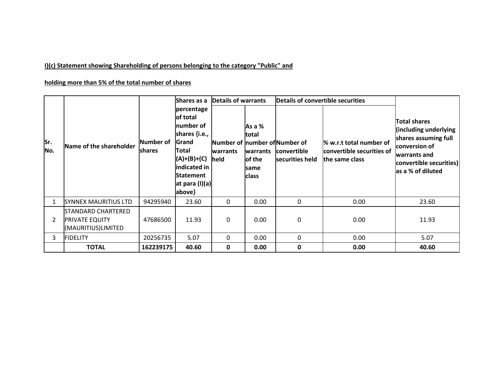## **I)(c) Statement showing Shareholding of persons belonging to the category "Public" and**

### **holding more than 5% of the total number of shares**

|            | Name of the shareholder                                           |                                    | Shares as a                                                                                                                                                | Details of warrants |                                                               | Details of convertible securities                                |                                                                        |                                                                                                                                                       |
|------------|-------------------------------------------------------------------|------------------------------------|------------------------------------------------------------------------------------------------------------------------------------------------------------|---------------------|---------------------------------------------------------------|------------------------------------------------------------------|------------------------------------------------------------------------|-------------------------------------------------------------------------------------------------------------------------------------------------------|
| Sr.<br>No. |                                                                   | <b>Number of</b><br><b>Ishares</b> | percentage<br>of total<br>Inumber of<br>shares {i.e.,<br>Grand<br>Total<br>(A)+(B)+(C)<br>indicated in<br><b>Statement</b><br>$ $ at para (I)(a)<br>above} | warrants<br>held    | As a %<br>total<br>warrants<br>of the<br>same<br><b>class</b> | Number of Inumber oflNumber of<br>convertible<br>securities held | % w.r.t total number of<br>convertible securities of<br>the same class | <b>Total shares</b><br>(including underlying<br>shares assuming full<br>conversion of<br>warrants and<br>convertible securities)<br>as a % of diluted |
|            | SYNNEX MAURITIUS LTD                                              | 94295940                           | 23.60                                                                                                                                                      | 0                   | 0.00                                                          | 0                                                                | 0.00                                                                   | 23.60                                                                                                                                                 |
| 2          | STANDARD CHARTERED<br><b>PRIVATE EQUITY</b><br>(MAURITIUS)LIMITED | 47686500                           | 11.93                                                                                                                                                      | $\Omega$            | 0.00                                                          | 0                                                                | 0.00                                                                   | 11.93                                                                                                                                                 |
| 3          | <b>FIDELITY</b>                                                   | 20256735                           | 5.07                                                                                                                                                       | $\Omega$            | 0.00                                                          | 0                                                                | 0.00                                                                   | 5.07                                                                                                                                                  |
|            | <b>TOTAL</b>                                                      | 162239175                          | 40.60                                                                                                                                                      | 0                   | 0.00                                                          | 0                                                                | 0.00                                                                   | 40.60                                                                                                                                                 |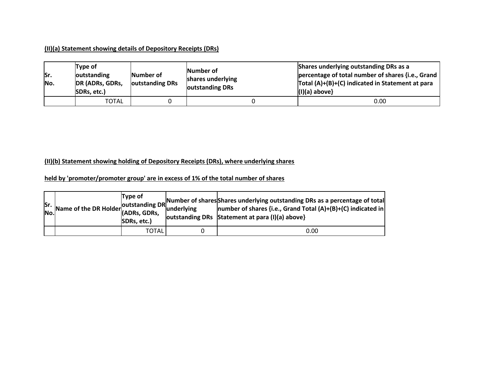#### **(II)(a) Statement showing details of Depository Receipts (DRs)**

| Sr.<br>No. | Type of<br>outstanding<br>DR (ADRs, GDRs,<br>SDRs, etc.) | Number of<br>outstanding DRs | Number of<br>shares underlying<br>outstanding DRs | Shares underlying outstanding DRs as a<br>percentage of total number of shares {i.e., Grand<br>Total (A)+(B)+(C) indicated in Statement at para<br>$(1)(a)$ above} |  |  |  |
|------------|----------------------------------------------------------|------------------------------|---------------------------------------------------|--------------------------------------------------------------------------------------------------------------------------------------------------------------------|--|--|--|
|            | TOTAL                                                    |                              |                                                   | 0.00                                                                                                                                                               |  |  |  |

#### **(II)(b) Statement showing holding of Depository Receipts (DRs), where underlying shares**

### **held by 'promoter/promoter group' are in excess of 1% of the total number of shares**

| lSr. | Mame of the DR Holder University June | <b>Type of</b><br>SDRs, etc.) | <b>Junderlving</b> | <b>Solution</b> Constanting DR Number of shares Shares underlying outstanding DRs as a percentage of total<br> number of shares {i.e., Grand Total (A)+(B)+(C) indicated in<br>outstanding DRs Statement at para (I)(a) above} |
|------|---------------------------------------|-------------------------------|--------------------|--------------------------------------------------------------------------------------------------------------------------------------------------------------------------------------------------------------------------------|
|      |                                       | TOTAL                         |                    | 0.00                                                                                                                                                                                                                           |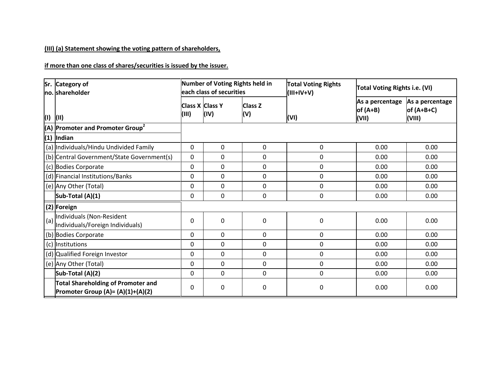## **(III) (a) Statement showing the voting pattern of shareholders,**

**if more than one class of shares/securities is issued by the issuer.**

|     | Sr. Category of<br>no. shareholder                                                    | Number of Voting Rights held in<br>each class of securities |          |                       | <b>Total Voting Rights</b><br>$(V+V+III)$ | <b>Total Voting Rights i.e. (VI)</b>   |                                           |
|-----|---------------------------------------------------------------------------------------|-------------------------------------------------------------|----------|-----------------------|-------------------------------------------|----------------------------------------|-------------------------------------------|
| (1) | (II)                                                                                  | <b>Class X Class Y</b><br>(III)                             | (IV)     | <b>Class Z</b><br>(V) | (VI)                                      | As a percentage<br>$of (A+B)$<br>(VII) | As a percentage<br>of $(A+B+C)$<br>(VIII) |
|     | (A) Promoter and Promoter Group <sup>2</sup>                                          |                                                             |          |                       |                                           |                                        |                                           |
|     | $(1)$ Indian                                                                          |                                                             |          |                       |                                           |                                        |                                           |
|     | (a) Individuals/Hindu Undivided Family                                                | $\mathbf 0$                                                 | 0        | 0                     | 0                                         | 0.00                                   | 0.00                                      |
|     | (b) Central Government/State Government(s)                                            | $\Omega$                                                    | 0        | 0                     | 0                                         | 0.00                                   | 0.00                                      |
|     | (c) Bodies Corporate                                                                  | $\Omega$                                                    | 0        | 0                     | 0                                         | 0.00                                   | 0.00                                      |
|     | (d) Financial Institutions/Banks                                                      | 0                                                           | 0        | 0                     | 0                                         | 0.00                                   | 0.00                                      |
|     | (e) Any Other (Total)                                                                 | $\Omega$                                                    | 0        | $\mathbf 0$           | 0                                         | 0.00                                   | 0.00                                      |
|     | Sub-Total (A)(1)                                                                      | $\Omega$                                                    | 0        | $\Omega$              | 0                                         | 0.00                                   | 0.00                                      |
|     | (2) Foreign                                                                           |                                                             |          |                       |                                           |                                        |                                           |
| (a) | Individuals (Non-Resident<br>Individuals/Foreign Individuals)                         | 0                                                           | 0        | 0                     | 0                                         | 0.00                                   | 0.00                                      |
|     | (b) Bodies Corporate                                                                  | $\Omega$                                                    | 0        | $\mathbf 0$           | 0                                         | 0.00                                   | 0.00                                      |
|     | (c) Institutions                                                                      | $\Omega$                                                    | $\Omega$ | $\Omega$              | 0                                         | 0.00                                   | 0.00                                      |
|     | (d) Qualified Foreign Investor                                                        | $\Omega$                                                    | 0        | $\mathbf 0$           | 0                                         | 0.00                                   | 0.00                                      |
|     | (e) Any Other (Total)                                                                 | $\Omega$                                                    | 0        | 0                     | 0                                         | 0.00                                   | 0.00                                      |
|     | Sub-Total (A)(2)                                                                      | $\Omega$                                                    | 0        | $\Omega$              | 0                                         | 0.00                                   | 0.00                                      |
|     | <b>Total Shareholding of Promoter and</b><br><b>Promoter Group (A)= (A)(1)+(A)(2)</b> | 0                                                           | 0        | 0                     | 0                                         | 0.00                                   | 0.00                                      |